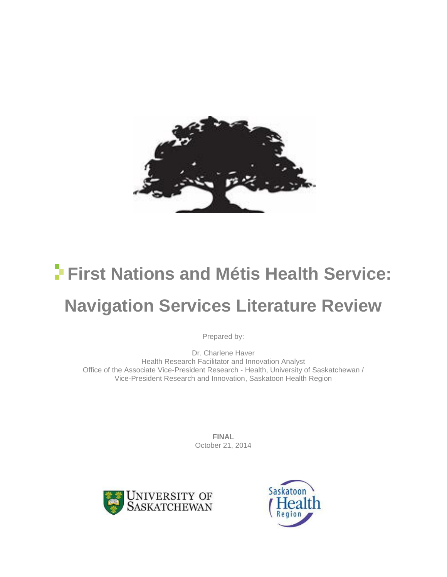

# **First Nations and Métis Health Service: Navigation Services Literature Review**

Prepared by:

Dr. Charlene Haver Health Research Facilitator and Innovation Analyst Office of the Associate Vice-President Research - Health, University of Saskatchewan / Vice-President Research and Innovation, Saskatoon Health Region

> **FINAL** October 21, 2014



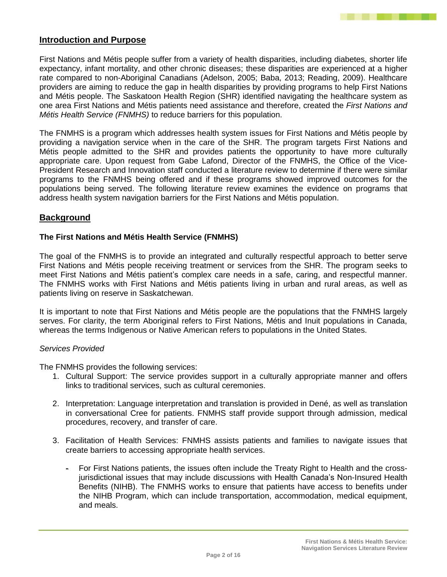

# **Introduction and Purpose**

First Nations and Métis people suffer from a variety of health disparities, including diabetes, shorter life expectancy, infant mortality, and other chronic diseases; these disparities are experienced at a higher rate compared to non-Aboriginal Canadians (Adelson, 2005; Baba, 2013; Reading, 2009). Healthcare providers are aiming to reduce the gap in health disparities by providing programs to help First Nations and Métis people. The Saskatoon Health Region (SHR) identified navigating the healthcare system as one area First Nations and Métis patients need assistance and therefore, created the *First Nations and Métis Health Service (FNMHS)* to reduce barriers for this population.

The FNMHS is a program which addresses health system issues for First Nations and Métis people by providing a navigation service when in the care of the SHR. The program targets First Nations and Métis people admitted to the SHR and provides patients the opportunity to have more culturally appropriate care. Upon request from Gabe Lafond, Director of the FNMHS, the Office of the Vice-President Research and Innovation staff conducted a literature review to determine if there were similar programs to the FNMHS being offered and if these programs showed improved outcomes for the populations being served. The following literature review examines the evidence on programs that address health system navigation barriers for the First Nations and Métis population.

## **Background**

#### **The First Nations and Métis Health Service (FNMHS)**

The goal of the FNMHS is to provide an integrated and culturally respectful approach to better serve First Nations and Métis people receiving treatment or services from the SHR. The program seeks to meet First Nations and Métis patient's complex care needs in a safe, caring, and respectful manner. The FNMHS works with First Nations and Métis patients living in urban and rural areas, as well as patients living on reserve in Saskatchewan.

It is important to note that First Nations and Métis people are the populations that the FNMHS largely serves. For clarity, the term Aboriginal refers to First Nations, Métis and Inuit populations in Canada, whereas the terms Indigenous or Native American refers to populations in the United States.

#### *Services Provided*

The FNMHS provides the following services:

- 1. Cultural Support: The service provides support in a culturally appropriate manner and offers links to traditional services, such as cultural ceremonies.
- 2. Interpretation: Language interpretation and translation is provided in Dené, as well as translation in conversational Cree for patients. FNMHS staff provide support through admission, medical procedures, recovery, and transfer of care.
- 3. Facilitation of Health Services: FNMHS assists patients and families to navigate issues that create barriers to accessing appropriate health services.
	- For First Nations patients, the issues often include the Treaty Right to Health and the crossjurisdictional issues that may include discussions with Health Canada's Non-Insured Health Benefits (NIHB). The FNMHS works to ensure that patients have access to benefits under the NIHB Program, which can include transportation, accommodation, medical equipment, and meals.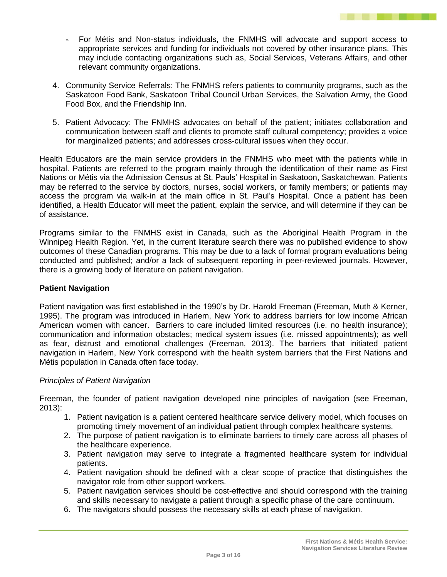- For Métis and Non-status individuals, the FNMHS will advocate and support access to appropriate services and funding for individuals not covered by other insurance plans. This may include contacting organizations such as, Social Services, Veterans Affairs, and other relevant community organizations.
- 4. Community Service Referrals: The FNMHS refers patients to community programs, such as the Saskatoon Food Bank, Saskatoon Tribal Council Urban Services, the Salvation Army, the Good Food Box, and the Friendship Inn.
- 5. Patient Advocacy: The FNMHS advocates on behalf of the patient; initiates collaboration and communication between staff and clients to promote staff cultural competency; provides a voice for marginalized patients; and addresses cross-cultural issues when they occur.

Health Educators are the main service providers in the FNMHS who meet with the patients while in hospital. Patients are referred to the program mainly through the identification of their name as First Nations or Métis via the Admission Census at St. Pauls' Hospital in Saskatoon, Saskatchewan. Patients may be referred to the service by doctors, nurses, social workers, or family members; or patients may access the program via walk-in at the main office in St. Paul's Hospital. Once a patient has been identified, a Health Educator will meet the patient, explain the service, and will determine if they can be of assistance.

Programs similar to the FNMHS exist in Canada, such as the Aboriginal Health Program in the Winnipeg Health Region. Yet, in the current literature search there was no published evidence to show outcomes of these Canadian programs. This may be due to a lack of formal program evaluations being conducted and published; and/or a lack of subsequent reporting in peer-reviewed journals. However, there is a growing body of literature on patient navigation.

## **Patient Navigation**

Patient navigation was first established in the 1990's by Dr. Harold Freeman (Freeman, Muth & Kerner, 1995). The program was introduced in Harlem, New York to address barriers for low income African American women with cancer. Barriers to care included limited resources (i.e. no health insurance); communication and information obstacles; medical system issues (i.e. missed appointments); as well as fear, distrust and emotional challenges (Freeman, 2013). The barriers that initiated patient navigation in Harlem, New York correspond with the health system barriers that the First Nations and Métis population in Canada often face today.

## *Principles of Patient Navigation*

Freeman, the founder of patient navigation developed nine principles of navigation (see Freeman, 2013):

- 1. Patient navigation is a patient centered healthcare service delivery model, which focuses on promoting timely movement of an individual patient through complex healthcare systems.
- 2. The purpose of patient navigation is to eliminate barriers to timely care across all phases of the healthcare experience.
- 3. Patient navigation may serve to integrate a fragmented healthcare system for individual patients.
- 4. Patient navigation should be defined with a clear scope of practice that distinguishes the navigator role from other support workers.
- 5. Patient navigation services should be cost-effective and should correspond with the training and skills necessary to navigate a patient through a specific phase of the care continuum.
- 6. The navigators should possess the necessary skills at each phase of navigation.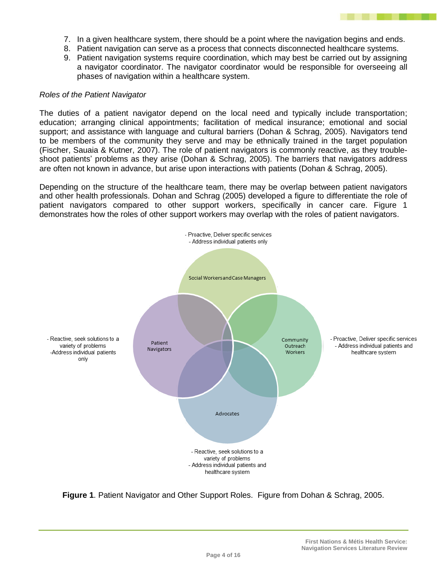

- 7. In a given healthcare system, there should be a point where the navigation begins and ends.
- 8. Patient navigation can serve as a process that connects disconnected healthcare systems.
- 9. Patient navigation systems require coordination, which may best be carried out by assigning a navigator coordinator. The navigator coordinator would be responsible for overseeing all phases of navigation within a healthcare system.

#### *Roles of the Patient Navigator*

The duties of a patient navigator depend on the local need and typically include transportation; education; arranging clinical appointments; facilitation of medical insurance; emotional and social support; and assistance with language and cultural barriers (Dohan & Schrag, 2005). Navigators tend to be members of the community they serve and may be ethnically trained in the target population (Fischer, Sauaia & Kutner, 2007). The role of patient navigators is commonly reactive, as they troubleshoot patients' problems as they arise (Dohan & Schrag, 2005). The barriers that navigators address are often not known in advance, but arise upon interactions with patients (Dohan & Schrag, 2005).

Depending on the structure of the healthcare team, there may be overlap between patient navigators and other health professionals. Dohan and Schrag (2005) developed a figure to differentiate the role of patient navigators compared to other support workers, specifically in cancer care. Figure 1 demonstrates how the roles of other support workers may overlap with the roles of patient navigators.



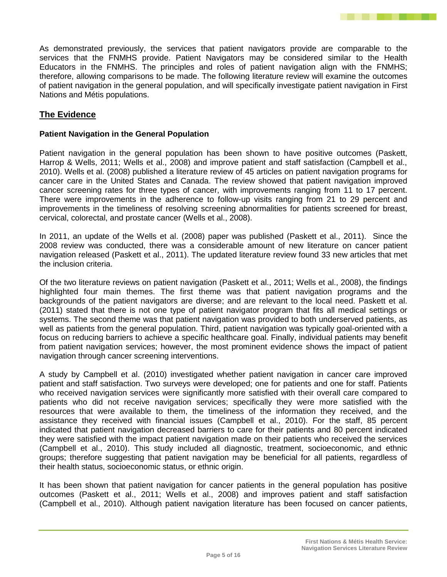As demonstrated previously, the services that patient navigators provide are comparable to the services that the FNMHS provide. Patient Navigators may be considered similar to the Health Educators in the FNMHS. The principles and roles of patient navigation align with the FNMHS; therefore, allowing comparisons to be made. The following literature review will examine the outcomes of patient navigation in the general population, and will specifically investigate patient navigation in First Nations and Métis populations.

# **The Evidence**

## **Patient Navigation in the General Population**

Patient navigation in the general population has been shown to have positive outcomes (Paskett, Harrop & Wells, 2011; Wells et al., 2008) and improve patient and staff satisfaction (Campbell et al., 2010). Wells et al. (2008) published a literature review of 45 articles on patient navigation programs for cancer care in the United States and Canada. The review showed that patient navigation improved cancer screening rates for three types of cancer, with improvements ranging from 11 to 17 percent. There were improvements in the adherence to follow-up visits ranging from 21 to 29 percent and improvements in the timeliness of resolving screening abnormalities for patients screened for breast, cervical, colorectal, and prostate cancer (Wells et al., 2008).

In 2011, an update of the Wells et al. (2008) paper was published (Paskett et al., 2011). Since the 2008 review was conducted, there was a considerable amount of new literature on cancer patient navigation released (Paskett et al., 2011). The updated literature review found 33 new articles that met the inclusion criteria.

Of the two literature reviews on patient navigation (Paskett et al., 2011; Wells et al., 2008), the findings highlighted four main themes. The first theme was that patient navigation programs and the backgrounds of the patient navigators are diverse; and are relevant to the local need. Paskett et al. (2011) stated that there is not one type of patient navigator program that fits all medical settings or systems. The second theme was that patient navigation was provided to both underserved patients, as well as patients from the general population. Third, patient navigation was typically goal-oriented with a focus on reducing barriers to achieve a specific healthcare goal. Finally, individual patients may benefit from patient navigation services; however, the most prominent evidence shows the impact of patient navigation through cancer screening interventions.

A study by Campbell et al. (2010) investigated whether patient navigation in cancer care improved patient and staff satisfaction. Two surveys were developed; one for patients and one for staff. Patients who received navigation services were significantly more satisfied with their overall care compared to patients who did not receive navigation services; specifically they were more satisfied with the resources that were available to them, the timeliness of the information they received, and the assistance they received with financial issues (Campbell et al., 2010). For the staff, 85 percent indicated that patient navigation decreased barriers to care for their patients and 80 percent indicated they were satisfied with the impact patient navigation made on their patients who received the services (Campbell et al., 2010). This study included all diagnostic, treatment, socioeconomic, and ethnic groups; therefore suggesting that patient navigation may be beneficial for all patients, regardless of their health status, socioeconomic status, or ethnic origin.

It has been shown that patient navigation for cancer patients in the general population has positive outcomes (Paskett et al., 2011; Wells et al., 2008) and improves patient and staff satisfaction (Campbell et al., 2010). Although patient navigation literature has been focused on cancer patients,

<u>ta kata ing Pangalan sa kabang sa</u>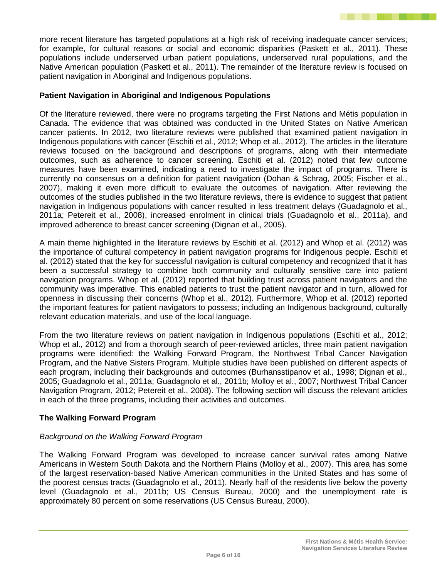more recent literature has targeted populations at a high risk of receiving inadequate cancer services; for example, for cultural reasons or social and economic disparities (Paskett et al., 2011). These populations include underserved urban patient populations, underserved rural populations, and the Native American population (Paskett et al., 2011). The remainder of the literature review is focused on patient navigation in Aboriginal and Indigenous populations.

# **Patient Navigation in Aboriginal and Indigenous Populations**

Of the literature reviewed, there were no programs targeting the First Nations and Métis population in Canada. The evidence that was obtained was conducted in the United States on Native American cancer patients. In 2012, two literature reviews were published that examined patient navigation in Indigenous populations with cancer (Eschiti et al., 2012; Whop et al., 2012). The articles in the literature reviews focused on the background and descriptions of programs, along with their intermediate outcomes, such as adherence to cancer screening. Eschiti et al. (2012) noted that few outcome measures have been examined, indicating a need to investigate the impact of programs. There is currently no consensus on a definition for patient navigation (Dohan & Schrag, 2005; Fischer et al., 2007), making it even more difficult to evaluate the outcomes of navigation. After reviewing the outcomes of the studies published in the two literature reviews, there is evidence to suggest that patient navigation in Indigenous populations with cancer resulted in less treatment delays (Guadagnolo et al., 2011a; Petereit et al., 2008), increased enrolment in clinical trials (Guadagnolo et al., 2011a), and improved adherence to breast cancer screening (Dignan et al., 2005).

A main theme highlighted in the literature reviews by Eschiti et al. (2012) and Whop et al. (2012) was the importance of cultural competency in patient navigation programs for Indigenous people. Eschiti et al. (2012) stated that the key for successful navigation is cultural competency and recognized that it has been a successful strategy to combine both community and culturally sensitive care into patient navigation programs. Whop et al. (2012) reported that building trust across patient navigators and the community was imperative. This enabled patients to trust the patient navigator and in turn, allowed for openness in discussing their concerns (Whop et al., 2012). Furthermore, Whop et al. (2012) reported the important features for patient navigators to possess; including an Indigenous background, culturally relevant education materials, and use of the local language.

From the two literature reviews on patient navigation in Indigenous populations (Eschiti et al., 2012; Whop et al., 2012) and from a thorough search of peer-reviewed articles, three main patient navigation programs were identified: the Walking Forward Program, the Northwest Tribal Cancer Navigation Program, and the Native Sisters Program. Multiple studies have been published on different aspects of each program, including their backgrounds and outcomes (Burhansstipanov et al., 1998; Dignan et al., 2005; Guadagnolo et al., 2011a; Guadagnolo et al., 2011b; Molloy et al., 2007; Northwest Tribal Cancer Navigation Program, 2012; Petereit et al., 2008). The following section will discuss the relevant articles in each of the three programs, including their activities and outcomes.

## **The Walking Forward Program**

## *Background on the Walking Forward Program*

The Walking Forward Program was developed to increase cancer survival rates among Native Americans in Western South Dakota and the Northern Plains (Molloy et al., 2007). This area has some of the largest reservation-based Native American communities in the United States and has some of the poorest census tracts (Guadagnolo et al., 2011). Nearly half of the residents live below the poverty level (Guadagnolo et al., 2011b; US Census Bureau, 2000) and the unemployment rate is approximately 80 percent on some reservations (US Census Bureau, 2000).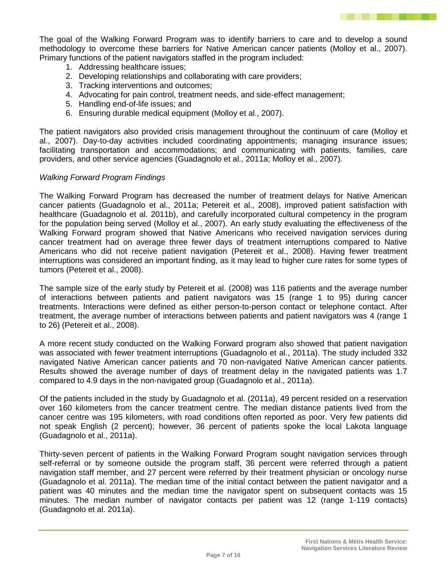The goal of the Walking Forward Program was to identify barriers to care and to develop a sound methodology to overcome these barriers for Native American cancer patients (Molloy et al., 2007). Primary functions of the patient navigators staffed in the program included:

- 1. Addressing healthcare issues;
- 2. Developing relationships and collaborating with care providers;
- 3. Tracking interventions and outcomes;
- 4. Advocating for pain control, treatment needs, and side-effect management;
- 5. Handling end-of-life issues; and
- 6. Ensuring durable medical equipment (Molloy et al., 2007).

The patient navigators also provided crisis management throughout the continuum of care (Molloy et al., 2007). Day-to-day activities included coordinating appointments; managing insurance issues; facilitating transportation and accommodations; and communicating with patients, families, care providers, and other service agencies (Guadagnolo et al., 2011a; Molloy et al., 2007).

#### *Walking Forward Program Findings*

The Walking Forward Program has decreased the number of treatment delays for Native American cancer patients (Guadagnolo et al., 2011a; Petereit et al., 2008), improved patient satisfaction with healthcare (Guadagnolo et al. 2011b), and carefully incorporated cultural competency in the program for the population being served (Molloy et al., 2007). An early study evaluating the effectiveness of the Walking Forward program showed that Native Americans who received navigation services during cancer treatment had on average three fewer days of treatment interruptions compared to Native Americans who did not receive patient navigation (Petereit et al., 2008). Having fewer treatment interruptions was considered an important finding, as it may lead to higher cure rates for some types of tumors (Petereit et al., 2008).

The sample size of the early study by Petereit et al. (2008) was 116 patients and the average number of interactions between patients and patient navigators was 15 (range 1 to 95) during cancer treatments. Interactions were defined as either person-to-person contact or telephone contact. After treatment, the average number of interactions between patients and patient navigators was 4 (range 1 to 26) (Petereit et al., 2008).

A more recent study conducted on the Walking Forward program also showed that patient navigation was associated with fewer treatment interruptions (Guadagnolo et al., 2011a). The study included 332 navigated Native American cancer patients and 70 non-navigated Native American cancer patients. Results showed the average number of days of treatment delay in the navigated patients was 1.7 compared to 4.9 days in the non-navigated group (Guadagnolo et al., 2011a).

Of the patients included in the study by Guadagnolo et al. (2011a), 49 percent resided on a reservation over 160 kilometers from the cancer treatment centre. The median distance patients lived from the cancer centre was 195 kilometers, with road conditions often reported as poor. Very few patients did not speak English (2 percent); however, 36 percent of patients spoke the local Lakota language (Guadagnolo et al., 2011a).

Thirty-seven percent of patients in the Walking Forward Program sought navigation services through self-referral or by someone outside the program staff, 36 percent were referred through a patient navigation staff member, and 27 percent were referred by their treatment physician or oncology nurse (Guadagnolo et al. 2011a). The median time of the initial contact between the patient navigator and a patient was 40 minutes and the median time the navigator spent on subsequent contacts was 15 minutes. The median number of navigator contacts per patient was 12 (range 1-119 contacts) (Guadagnolo et al. 2011a).

The Company of the Company of the Company of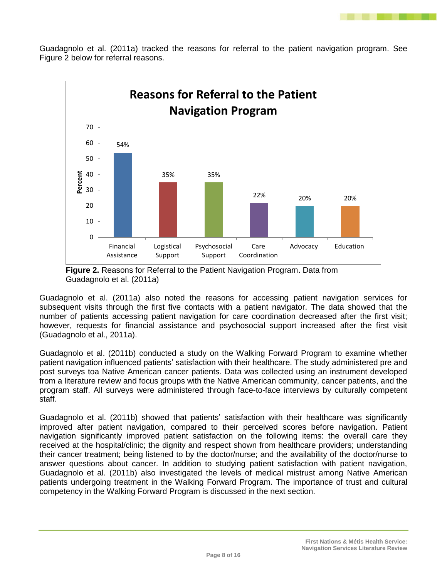

Guadagnolo et al. (2011a) tracked the reasons for referral to the patient navigation program. See Figure 2 below for referral reasons.





Guadagnolo et al. (2011a) also noted the reasons for accessing patient navigation services for subsequent visits through the first five contacts with a patient navigator. The data showed that the number of patients accessing patient navigation for care coordination decreased after the first visit; however, requests for financial assistance and psychosocial support increased after the first visit (Guadagnolo et al., 2011a).

Guadagnolo et al. (2011b) conducted a study on the Walking Forward Program to examine whether patient navigation influenced patients' satisfaction with their healthcare. The study administered pre and post surveys toa Native American cancer patients. Data was collected using an instrument developed from a literature review and focus groups with the Native American community, cancer patients, and the program staff. All surveys were administered through face-to-face interviews by culturally competent staff.

Guadagnolo et al. (2011b) showed that patients' satisfaction with their healthcare was significantly improved after patient navigation, compared to their perceived scores before navigation. Patient navigation significantly improved patient satisfaction on the following items: the overall care they received at the hospital/clinic; the dignity and respect shown from healthcare providers; understanding their cancer treatment; being listened to by the doctor/nurse; and the availability of the doctor/nurse to answer questions about cancer. In addition to studying patient satisfaction with patient navigation, Guadagnolo et al. (2011b) also investigated the levels of medical mistrust among Native American patients undergoing treatment in the Walking Forward Program. The importance of trust and cultural competency in the Walking Forward Program is discussed in the next section.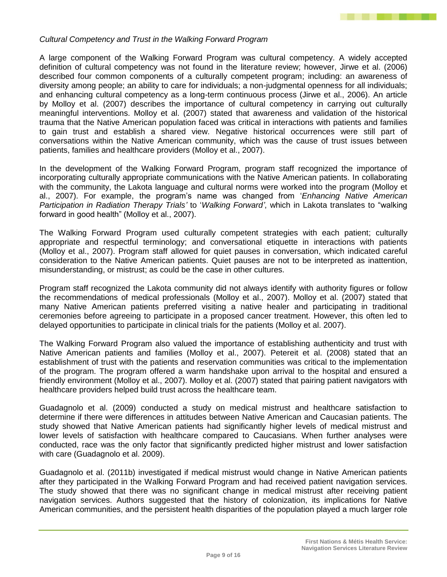

#### *Cultural Competency and Trust in the Walking Forward Program*

A large component of the Walking Forward Program was cultural competency. A widely accepted definition of cultural competency was not found in the literature review; however, Jirwe et al. (2006) described four common components of a culturally competent program; including: an awareness of diversity among people; an ability to care for individuals; a non-judgmental openness for all individuals; and enhancing cultural competency as a long-term continuous process (Jirwe et al., 2006). An article by Molloy et al. (2007) describes the importance of cultural competency in carrying out culturally meaningful interventions. Molloy et al. (2007) stated that awareness and validation of the historical trauma that the Native American population faced was critical in interactions with patients and families to gain trust and establish a shared view. Negative historical occurrences were still part of conversations within the Native American community, which was the cause of trust issues between patients, families and healthcare providers (Molloy et al., 2007).

In the development of the Walking Forward Program, program staff recognized the importance of incorporating culturally appropriate communications with the Native American patients. In collaborating with the community, the Lakota language and cultural norms were worked into the program (Molloy et al., 2007). For example, the program's name was changed from '*Enhancing Native American Participation in Radiation Therapy Trials'* to '*Walking Forward'*, which in Lakota translates to "walking forward in good health" (Molloy et al., 2007).

The Walking Forward Program used culturally competent strategies with each patient; culturally appropriate and respectful terminology; and conversational etiquette in interactions with patients (Molloy et al., 2007). Program staff allowed for quiet pauses in conversation, which indicated careful consideration to the Native American patients. Quiet pauses are not to be interpreted as inattention, misunderstanding, or mistrust; as could be the case in other cultures.

Program staff recognized the Lakota community did not always identify with authority figures or follow the recommendations of medical professionals (Molloy et al., 2007). Molloy et al. (2007) stated that many Native American patients preferred visiting a native healer and participating in traditional ceremonies before agreeing to participate in a proposed cancer treatment. However, this often led to delayed opportunities to participate in clinical trials for the patients (Molloy et al. 2007).

The Walking Forward Program also valued the importance of establishing authenticity and trust with Native American patients and families (Molloy et al., 2007). Petereit et al. (2008) stated that an establishment of trust with the patients and reservation communities was critical to the implementation of the program. The program offered a warm handshake upon arrival to the hospital and ensured a friendly environment (Molloy et al., 2007). Molloy et al. (2007) stated that pairing patient navigators with healthcare providers helped build trust across the healthcare team.

Guadagnolo et al. (2009) conducted a study on medical mistrust and healthcare satisfaction to determine if there were differences in attitudes between Native American and Caucasian patients. The study showed that Native American patients had significantly higher levels of medical mistrust and lower levels of satisfaction with healthcare compared to Caucasians. When further analyses were conducted, race was the only factor that significantly predicted higher mistrust and lower satisfaction with care (Guadagnolo et al. 2009).

Guadagnolo et al. (2011b) investigated if medical mistrust would change in Native American patients after they participated in the Walking Forward Program and had received patient navigation services. The study showed that there was no significant change in medical mistrust after receiving patient navigation services. Authors suggested that the history of colonization, its implications for Native American communities, and the persistent health disparities of the population played a much larger role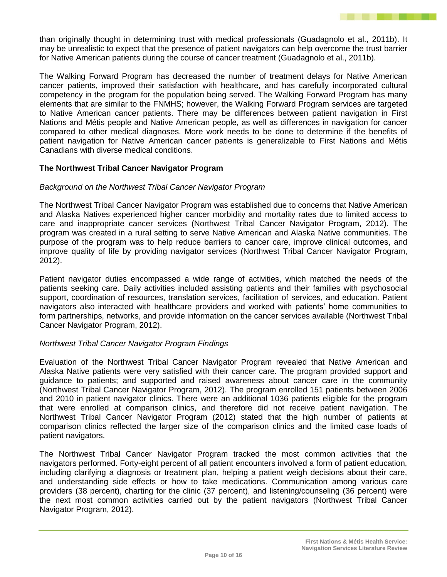than originally thought in determining trust with medical professionals (Guadagnolo et al., 2011b). It may be unrealistic to expect that the presence of patient navigators can help overcome the trust barrier for Native American patients during the course of cancer treatment (Guadagnolo et al., 2011b).

The Walking Forward Program has decreased the number of treatment delays for Native American cancer patients, improved their satisfaction with healthcare, and has carefully incorporated cultural competency in the program for the population being served. The Walking Forward Program has many elements that are similar to the FNMHS; however, the Walking Forward Program services are targeted to Native American cancer patients. There may be differences between patient navigation in First Nations and Métis people and Native American people, as well as differences in navigation for cancer compared to other medical diagnoses. More work needs to be done to determine if the benefits of patient navigation for Native American cancer patients is generalizable to First Nations and Métis Canadians with diverse medical conditions.

## **The Northwest Tribal Cancer Navigator Program**

## *Background on the Northwest Tribal Cancer Navigator Program*

The Northwest Tribal Cancer Navigator Program was established due to concerns that Native American and Alaska Natives experienced higher cancer morbidity and mortality rates due to limited access to care and inappropriate cancer services (Northwest Tribal Cancer Navigator Program, 2012). The program was created in a rural setting to serve Native American and Alaska Native communities. The purpose of the program was to help reduce barriers to cancer care, improve clinical outcomes, and improve quality of life by providing navigator services (Northwest Tribal Cancer Navigator Program, 2012).

Patient navigator duties encompassed a wide range of activities, which matched the needs of the patients seeking care. Daily activities included assisting patients and their families with psychosocial support, coordination of resources, translation services, facilitation of services, and education. Patient navigators also interacted with healthcare providers and worked with patients' home communities to form partnerships, networks, and provide information on the cancer services available (Northwest Tribal Cancer Navigator Program, 2012).

#### *Northwest Tribal Cancer Navigator Program Findings*

Evaluation of the Northwest Tribal Cancer Navigator Program revealed that Native American and Alaska Native patients were very satisfied with their cancer care. The program provided support and guidance to patients; and supported and raised awareness about cancer care in the community (Northwest Tribal Cancer Navigator Program, 2012). The program enrolled 151 patients between 2006 and 2010 in patient navigator clinics. There were an additional 1036 patients eligible for the program that were enrolled at comparison clinics, and therefore did not receive patient navigation. The Northwest Tribal Cancer Navigator Program (2012) stated that the high number of patients at comparison clinics reflected the larger size of the comparison clinics and the limited case loads of patient navigators.

The Northwest Tribal Cancer Navigator Program tracked the most common activities that the navigators performed. Forty-eight percent of all patient encounters involved a form of patient education, including clarifying a diagnosis or treatment plan, helping a patient weigh decisions about their care, and understanding side effects or how to take medications. Communication among various care providers (38 percent), charting for the clinic (37 percent), and listening/counseling (36 percent) were the next most common activities carried out by the patient navigators (Northwest Tribal Cancer Navigator Program, 2012).

The Company of the Company of the Company of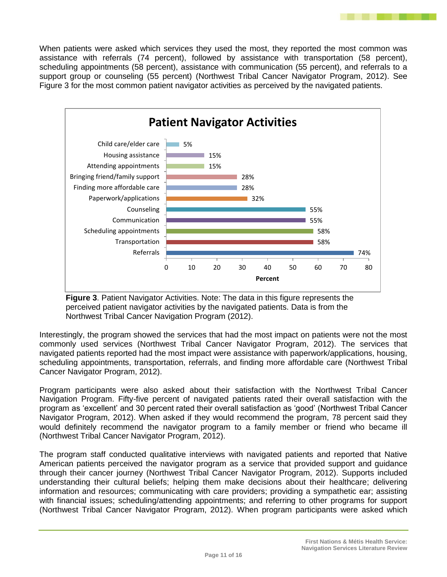When patients were asked which services they used the most, they reported the most common was assistance with referrals (74 percent), followed by assistance with transportation (58 percent), scheduling appointments (58 percent), assistance with communication (55 percent), and referrals to a support group or counseling (55 percent) (Northwest Tribal Cancer Navigator Program, 2012). See Figure 3 for the most common patient navigator activities as perceived by the navigated patients.



**Figure 3**. Patient Navigator Activities. Note: The data in this figure represents the perceived patient navigator activities by the navigated patients. Data is from the Northwest Tribal Cancer Navigation Program (2012).

Interestingly, the program showed the services that had the most impact on patients were not the most commonly used services (Northwest Tribal Cancer Navigator Program, 2012). The services that navigated patients reported had the most impact were assistance with paperwork/applications, housing, scheduling appointments, transportation, referrals, and finding more affordable care (Northwest Tribal Cancer Navigator Program, 2012).

Program participants were also asked about their satisfaction with the Northwest Tribal Cancer Navigation Program. Fifty-five percent of navigated patients rated their overall satisfaction with the program as 'excellent' and 30 percent rated their overall satisfaction as 'good' (Northwest Tribal Cancer Navigator Program, 2012). When asked if they would recommend the program, 78 percent said they would definitely recommend the navigator program to a family member or friend who became ill (Northwest Tribal Cancer Navigator Program, 2012).

The program staff conducted qualitative interviews with navigated patients and reported that Native American patients perceived the navigator program as a service that provided support and guidance through their cancer journey (Northwest Tribal Cancer Navigator Program, 2012). Supports included understanding their cultural beliefs; helping them make decisions about their healthcare; delivering information and resources; communicating with care providers; providing a sympathetic ear; assisting with financial issues; scheduling/attending appointments; and referring to other programs for support (Northwest Tribal Cancer Navigator Program, 2012). When program participants were asked which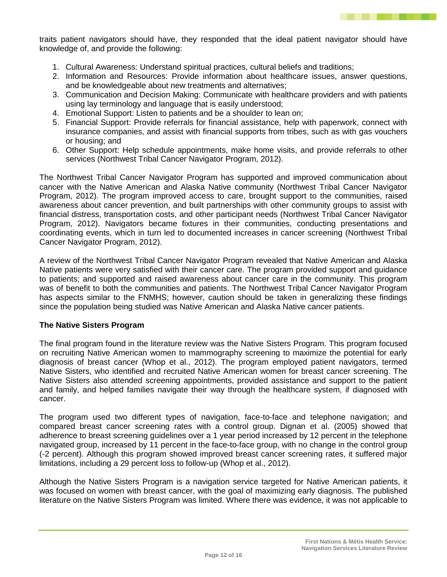

traits patient navigators should have, they responded that the ideal patient navigator should have knowledge of, and provide the following:

- 1. Cultural Awareness: Understand spiritual practices, cultural beliefs and traditions;
- 2. Information and Resources: Provide information about healthcare issues, answer questions, and be knowledgeable about new treatments and alternatives;
- 3. Communication and Decision Making: Communicate with healthcare providers and with patients using lay terminology and language that is easily understood;
- 4. Emotional Support: Listen to patients and be a shoulder to lean on;
- 5. Financial Support: Provide referrals for financial assistance, help with paperwork, connect with insurance companies, and assist with financial supports from tribes, such as with gas vouchers or housing; and
- 6. Other Support: Help schedule appointments, make home visits, and provide referrals to other services (Northwest Tribal Cancer Navigator Program, 2012).

The Northwest Tribal Cancer Navigator Program has supported and improved communication about cancer with the Native American and Alaska Native community (Northwest Tribal Cancer Navigator Program, 2012). The program improved access to care, brought support to the communities, raised awareness about cancer prevention, and built partnerships with other community groups to assist with financial distress, transportation costs, and other participant needs (Northwest Tribal Cancer Navigator Program, 2012). Navigators became fixtures in their communities, conducting presentations and coordinating events, which in turn led to documented increases in cancer screening (Northwest Tribal Cancer Navigator Program, 2012).

A review of the Northwest Tribal Cancer Navigator Program revealed that Native American and Alaska Native patients were very satisfied with their cancer care. The program provided support and guidance to patients; and supported and raised awareness about cancer care in the community. This program was of benefit to both the communities and patients. The Northwest Tribal Cancer Navigator Program has aspects similar to the FNMHS; however, caution should be taken in generalizing these findings since the population being studied was Native American and Alaska Native cancer patients.

#### **The Native Sisters Program**

The final program found in the literature review was the Native Sisters Program. This program focused on recruiting Native American women to mammography screening to maximize the potential for early diagnosis of breast cancer (Whop et al., 2012). The program employed patient navigators, termed Native Sisters, who identified and recruited Native American women for breast cancer screening. The Native Sisters also attended screening appointments, provided assistance and support to the patient and family, and helped families navigate their way through the healthcare system, if diagnosed with cancer.

The program used two different types of navigation, face-to-face and telephone navigation; and compared breast cancer screening rates with a control group. Dignan et al. (2005) showed that adherence to breast screening guidelines over a 1 year period increased by 12 percent in the telephone navigated group, increased by 11 percent in the face-to-face group, with no change in the control group (-2 percent). Although this program showed improved breast cancer screening rates, it suffered major limitations, including a 29 percent loss to follow-up (Whop et al., 2012).

Although the Native Sisters Program is a navigation service targeted for Native American patients, it was focused on women with breast cancer, with the goal of maximizing early diagnosis. The published literature on the Native Sisters Program was limited. Where there was evidence, it was not applicable to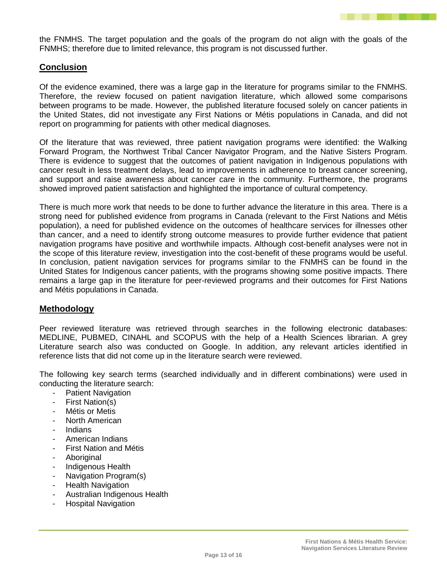

the FNMHS. The target population and the goals of the program do not align with the goals of the FNMHS; therefore due to limited relevance, this program is not discussed further.

# **Conclusion**

Of the evidence examined, there was a large gap in the literature for programs similar to the FNMHS. Therefore, the review focused on patient navigation literature, which allowed some comparisons between programs to be made. However, the published literature focused solely on cancer patients in the United States, did not investigate any First Nations or Métis populations in Canada, and did not report on programming for patients with other medical diagnoses.

Of the literature that was reviewed, three patient navigation programs were identified: the Walking Forward Program, the Northwest Tribal Cancer Navigator Program, and the Native Sisters Program. There is evidence to suggest that the outcomes of patient navigation in Indigenous populations with cancer result in less treatment delays, lead to improvements in adherence to breast cancer screening, and support and raise awareness about cancer care in the community. Furthermore, the programs showed improved patient satisfaction and highlighted the importance of cultural competency.

There is much more work that needs to be done to further advance the literature in this area. There is a strong need for published evidence from programs in Canada (relevant to the First Nations and Métis population), a need for published evidence on the outcomes of healthcare services for illnesses other than cancer, and a need to identify strong outcome measures to provide further evidence that patient navigation programs have positive and worthwhile impacts. Although cost-benefit analyses were not in the scope of this literature review, investigation into the cost-benefit of these programs would be useful. In conclusion, patient navigation services for programs similar to the FNMHS can be found in the United States for Indigenous cancer patients, with the programs showing some positive impacts. There remains a large gap in the literature for peer-reviewed programs and their outcomes for First Nations and Métis populations in Canada.

## **Methodology**

Peer reviewed literature was retrieved through searches in the following electronic databases: MEDLINE, PUBMED, CINAHL and SCOPUS with the help of a Health Sciences librarian. A grey Literature search also was conducted on Google. In addition, any relevant articles identified in reference lists that did not come up in the literature search were reviewed.

The following key search terms (searched individually and in different combinations) were used in conducting the literature search:

- Patient Navigation
- First Nation(s)
- Métis or Metis
- North American
- Indians
- American Indians
- First Nation and Métis
- **Aboriginal**
- Indigenous Health
- Navigation Program(s)
- **Health Navigation**
- Australian Indigenous Health
- Hospital Navigation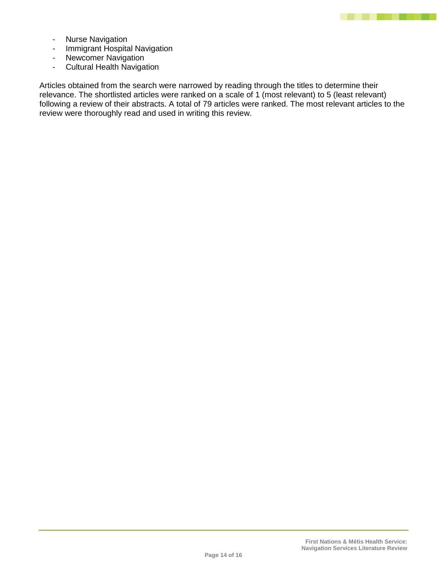

- Nurse Navigation
- Immigrant Hospital Navigation
- Newcomer Navigation
- Cultural Health Navigation

Articles obtained from the search were narrowed by reading through the titles to determine their relevance. The shortlisted articles were ranked on a scale of 1 (most relevant) to 5 (least relevant) following a review of their abstracts. A total of 79 articles were ranked. The most relevant articles to the review were thoroughly read and used in writing this review.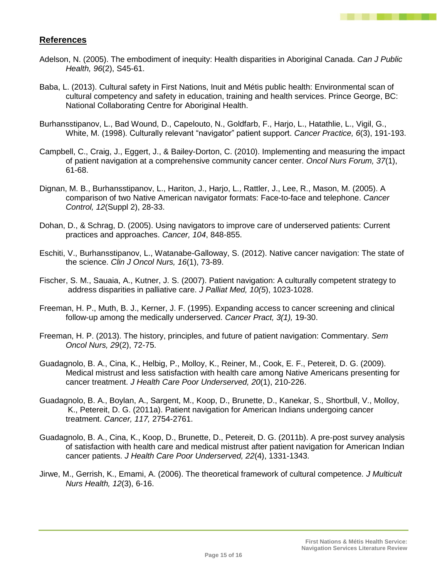

# **References**

- Adelson, N. (2005). The embodiment of inequity: Health disparities in Aboriginal Canada. *Can J Public Health, 96*(2), S45-61.
- Baba, L. (2013). Cultural safety in First Nations, Inuit and Métis public health: Environmental scan of cultural competency and safety in education, training and health services. Prince George, BC: National Collaborating Centre for Aboriginal Health.
- Burhansstipanov, L., Bad Wound, D., Capelouto, N., Goldfarb, F., Harjo, L., Hatathlie, L., Vigil, G., White, M. (1998). Culturally relevant "navigator" patient support. *Cancer Practice, 6*(3), 191-193.
- Campbell, C., Craig, J., Eggert, J., & Bailey-Dorton, C. (2010). Implementing and measuring the impact of patient navigation at a comprehensive community cancer center. *Oncol Nurs Forum, 37*(1), 61-68.
- Dignan, M. B., Burhansstipanov, L., Hariton, J., Harjo, L., Rattler, J., Lee, R., Mason, M. (2005). A comparison of two Native American navigator formats: Face-to-face and telephone. *Cancer Control, 12*(Suppl 2), 28-33.
- Dohan, D., & Schrag, D. (2005). Using navigators to improve care of underserved patients: Current practices and approaches. *Cancer, 104*, 848-855.
- Eschiti, V., Burhansstipanov, L., Watanabe-Galloway, S. (2012). Native cancer navigation: The state of the science. *Clin J Oncol Nurs, 16*(1), 73-89.
- Fischer, S. M., Sauaia, A., Kutner, J. S. (2007). Patient navigation: A culturally competent strategy to address disparities in palliative care. *J Palliat Med, 10(5*), 1023-1028.
- Freeman, H. P., Muth, B. J., Kerner, J. F. (1995). Expanding access to cancer screening and clinical follow-up among the medically underserved. *Cancer Pract, 3(1),* 19-30.
- Freeman, H. P. (2013). The history, principles, and future of patient navigation: Commentary. *Sem Oncol Nurs, 29*(2), 72-75.
- Guadagnolo, B. A., Cina, K., Helbig, P., Molloy, K., Reiner, M., Cook, E. F., Petereit, D. G. (2009). Medical mistrust and less satisfaction with health care among Native Americans presenting for cancer treatment. *J Health Care Poor Underserved, 20*(1), 210-226.
- Guadagnolo, B. A., Boylan, A., Sargent, M., Koop, D., Brunette, D., Kanekar, S., Shortbull, V., Molloy, K., Petereit, D. G. (2011a). Patient navigation for American Indians undergoing cancer treatment. *Cancer, 117,* 2754-2761.
- Guadagnolo, B. A., Cina, K., Koop, D., Brunette, D., Petereit, D. G. (2011b). A pre-post survey analysis of satisfaction with health care and medical mistrust after patient navigation for American Indian cancer patients. *J Health Care Poor Underserved, 22*(4), 1331-1343.
- Jirwe, M., Gerrish, K., Emami, A. (2006). The theoretical framework of cultural competence. *J Multicult Nurs Health, 12*(3), 6-16.